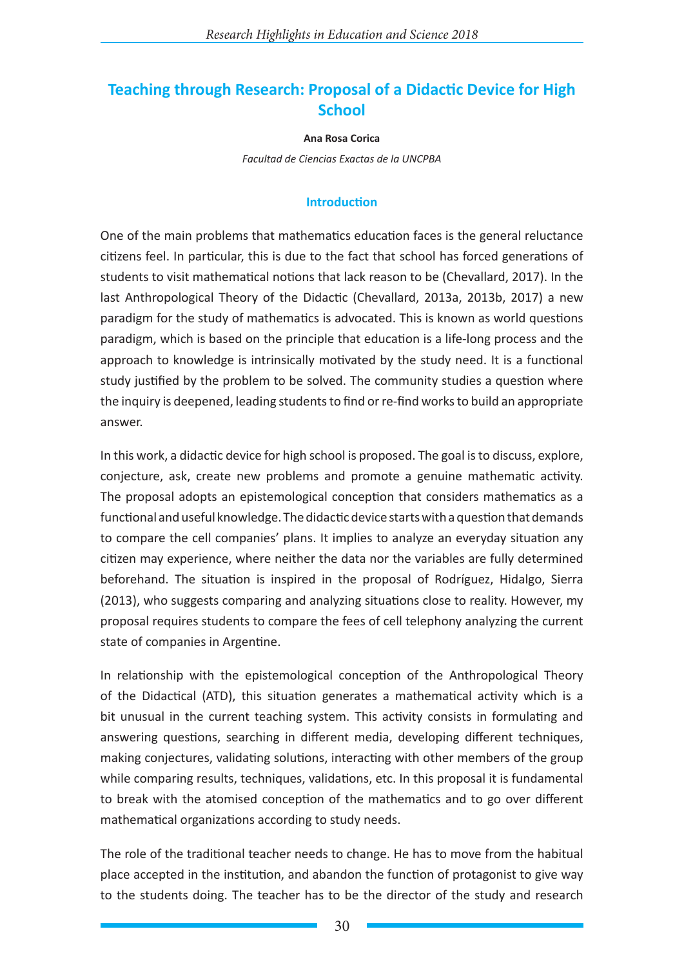# **Teaching through Research: Proposal of a Didactic Device for High School**

#### **Ana Rosa Corica**

*Facultad de Ciencias Exactas de la UNCPBA*

#### **Introduction**

One of the main problems that mathematics education faces is the general reluctance citizens feel. In particular, this is due to the fact that school has forced generations of students to visit mathematical notions that lack reason to be (Chevallard, 2017). In the last Anthropological Theory of the Didactic (Chevallard, 2013a, 2013b, 2017) a new paradigm for the study of mathematics is advocated. This is known as world questions paradigm, which is based on the principle that education is a life-long process and the approach to knowledge is intrinsically motivated by the study need. It is a functional study justified by the problem to be solved. The community studies a question where the inquiry is deepened, leading students to find or re-find works to build an appropriate answer.

In this work, a didactic device for high school is proposed. The goal is to discuss, explore, conjecture, ask, create new problems and promote a genuine mathematic activity. The proposal adopts an epistemological conception that considers mathematics as a functional and useful knowledge. The didactic device starts with a question that demands to compare the cell companies' plans. It implies to analyze an everyday situation any citizen may experience, where neither the data nor the variables are fully determined beforehand. The situation is inspired in the proposal of Rodríguez, Hidalgo, Sierra (2013), who suggests comparing and analyzing situations close to reality. However, my proposal requires students to compare the fees of cell telephony analyzing the current state of companies in Argentine.

In relationship with the epistemological conception of the Anthropological Theory of the Didactical (ATD), this situation generates a mathematical activity which is a bit unusual in the current teaching system. This activity consists in formulating and answering questions, searching in different media, developing different techniques, making conjectures, validating solutions, interacting with other members of the group while comparing results, techniques, validations, etc. In this proposal it is fundamental to break with the atomised conception of the mathematics and to go over different mathematical organizations according to study needs.

The role of the traditional teacher needs to change. He has to move from the habitual place accepted in the institution, and abandon the function of protagonist to give way to the students doing. The teacher has to be the director of the study and research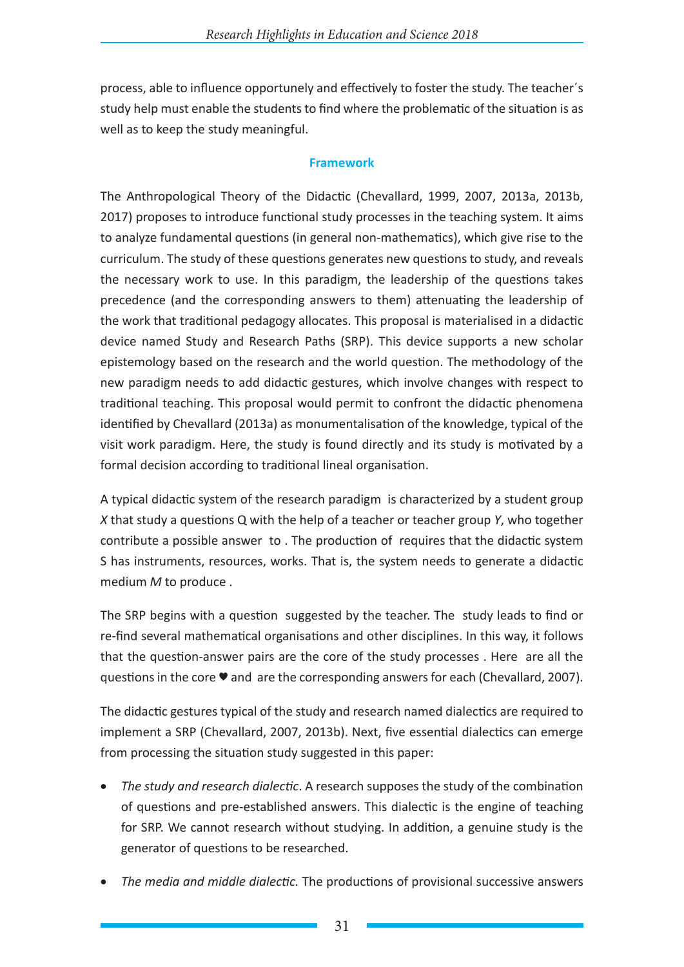process, able to influence opportunely and effectively to foster the study. The teacher´s study help must enable the students to find where the problematic of the situation is as well as to keep the study meaningful.

## **Framework**

The Anthropological Theory of the Didactic (Chevallard, 1999, 2007, 2013a, 2013b, 2017) proposes to introduce functional study processes in the teaching system. It aims to analyze fundamental questions (in general non-mathematics), which give rise to the curriculum. The study of these questions generates new questions to study, and reveals the necessary work to use. In this paradigm, the leadership of the questions takes precedence (and the corresponding answers to them) attenuating the leadership of the work that traditional pedagogy allocates. This proposal is materialised in a didactic device named Study and Research Paths (SRP). This device supports a new scholar epistemology based on the research and the world question. The methodology of the new paradigm needs to add didactic gestures, which involve changes with respect to traditional teaching. This proposal would permit to confront the didactic phenomena identified by Chevallard (2013a) as monumentalisation of the knowledge, typical of the visit work paradigm. Here, the study is found directly and its study is motivated by a formal decision according to traditional lineal organisation.

A typical didactic system of the research paradigm is characterized by a student group *X* that study a questions Q with the help of a teacher or teacher group *Y*, who together contribute a possible answer to . The production of requires that the didactic system S has instruments, resources, works. That is, the system needs to generate a didactic medium *M* to produce .

The SRP begins with a question suggested by the teacher. The study leads to find or re-find several mathematical organisations and other disciplines. In this way, it follows that the question-answer pairs are the core of the study processes . Here are all the questions in the core ♥ and are the corresponding answers for each (Chevallard, 2007).

The didactic gestures typical of the study and research named dialectics are required to implement a SRP (Chevallard, 2007, 2013b). Next, five essential dialectics can emerge from processing the situation study suggested in this paper:

- *The study and research dialectic*. A research supposes the study of the combination of questions and pre-established answers. This dialectic is the engine of teaching for SRP. We cannot research without studying. In addition, a genuine study is the generator of questions to be researched.
- The media and middle dialectic. The productions of provisional successive answers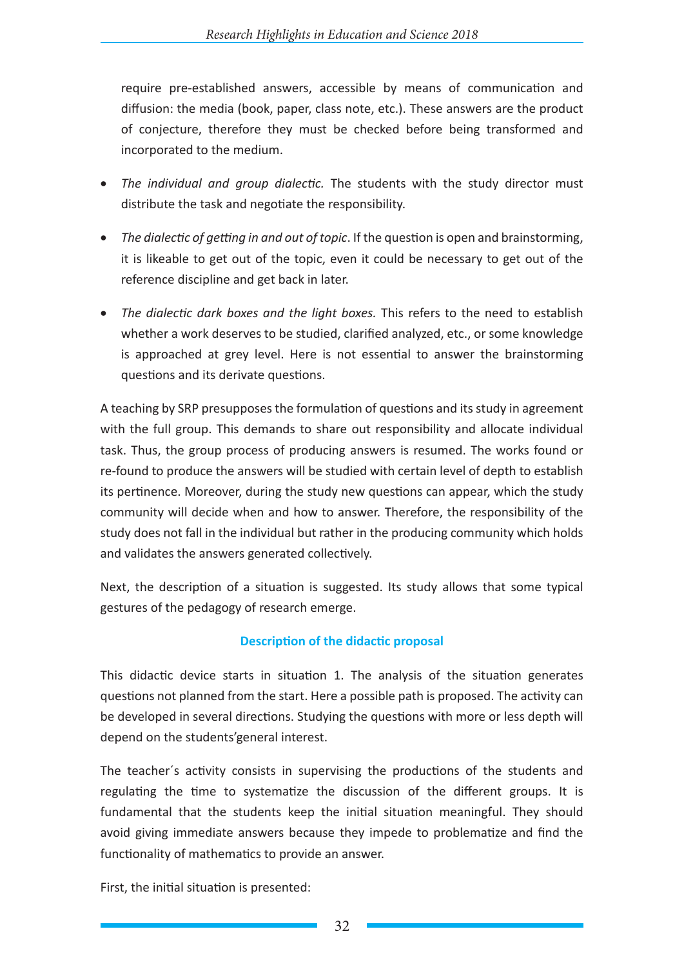require pre-established answers, accessible by means of communication and diffusion: the media (book, paper, class note, etc.). These answers are the product of conjecture, therefore they must be checked before being transformed and incorporated to the medium.

- • *The individual and group dialectic.* The students with the study director must distribute the task and negotiate the responsibility.
- The dialectic of getting in and out of topic. If the question is open and brainstorming, it is likeable to get out of the topic, even it could be necessary to get out of the reference discipline and get back in later.
- The dialectic dark boxes and the light boxes. This refers to the need to establish whether a work deserves to be studied, clarified analyzed, etc., or some knowledge is approached at grey level. Here is not essential to answer the brainstorming questions and its derivate questions.

A teaching by SRP presupposes the formulation of questions and its study in agreement with the full group. This demands to share out responsibility and allocate individual task. Thus, the group process of producing answers is resumed. The works found or re-found to produce the answers will be studied with certain level of depth to establish its pertinence. Moreover, during the study new questions can appear, which the study community will decide when and how to answer. Therefore, the responsibility of the study does not fall in the individual but rather in the producing community which holds and validates the answers generated collectively.

Next, the description of a situation is suggested. Its study allows that some typical gestures of the pedagogy of research emerge.

# **Description of the didactic proposal**

This didactic device starts in situation 1. The analysis of the situation generates questions not planned from the start. Here a possible path is proposed. The activity can be developed in several directions. Studying the questions with more or less depth will depend on the students'general interest.

The teacher´s activity consists in supervising the productions of the students and regulating the time to systematize the discussion of the different groups. It is fundamental that the students keep the initial situation meaningful. They should avoid giving immediate answers because they impede to problematize and find the functionality of mathematics to provide an answer.

First, the initial situation is presented: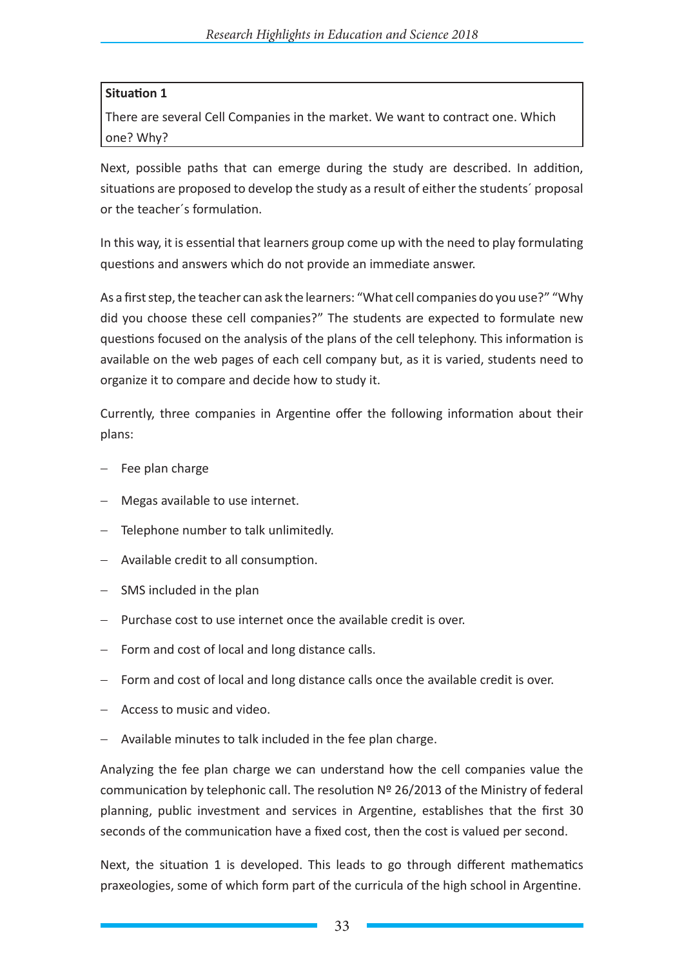# **Situation 1**

There are several Cell Companies in the market. We want to contract one. Which one? Why?

Next, possible paths that can emerge during the study are described. In addition, situations are proposed to develop the study as a result of either the students´ proposal or the teacher´s formulation.

In this way, it is essential that learners group come up with the need to play formulating questions and answers which do not provide an immediate answer.

As a first step, the teacher can ask the learners: "What cell companies do you use?" "Why did you choose these cell companies?" The students are expected to formulate new questions focused on the analysis of the plans of the cell telephony. This information is available on the web pages of each cell company but, as it is varied, students need to organize it to compare and decide how to study it.

Currently, three companies in Argentine offer the following information about their plans:

- − Fee plan charge
- − Megas available to use internet.
- − Telephone number to talk unlimitedly.
- − Available credit to all consumption.
- − SMS included in the plan
- − Purchase cost to use internet once the available credit is over.
- − Form and cost of local and long distance calls.
- − Form and cost of local and long distance calls once the available credit is over.
- − Access to music and video.
- − Available minutes to talk included in the fee plan charge.

Analyzing the fee plan charge we can understand how the cell companies value the communication by telephonic call. The resolution Nº 26/2013 of the Ministry of federal planning, public investment and services in Argentine, establishes that the first 30 seconds of the communication have a fixed cost, then the cost is valued per second.

Next, the situation 1 is developed. This leads to go through different mathematics praxeologies, some of which form part of the curricula of the high school in Argentine.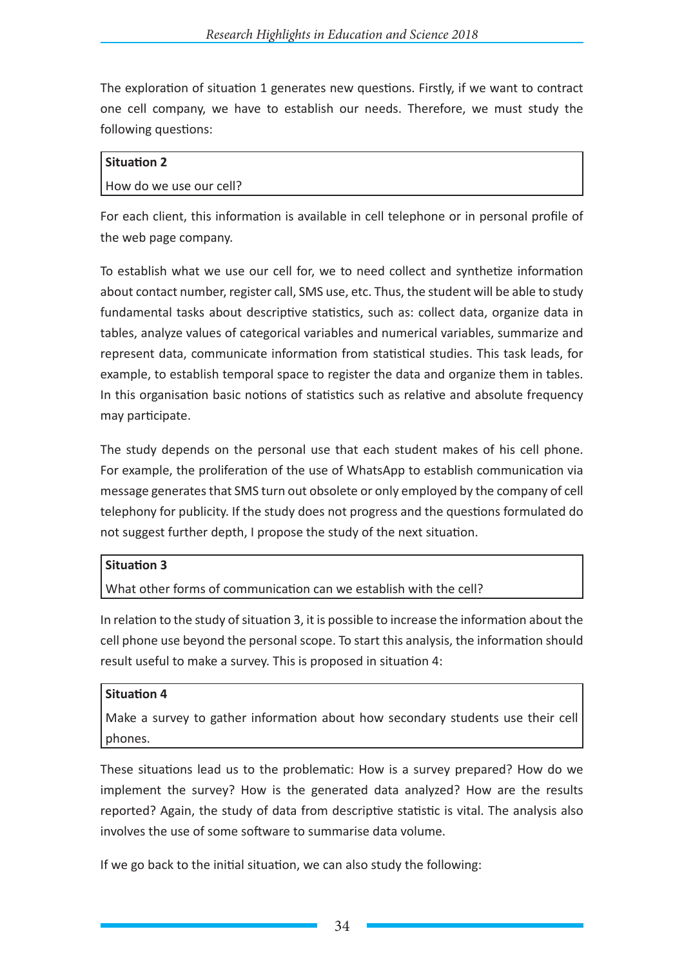The exploration of situation 1 generates new questions. Firstly, if we want to contract one cell company, we have to establish our needs. Therefore, we must study the following questions:

# **Situation 2** How do we use our cell?

For each client, this information is available in cell telephone or in personal profile of the web page company.

To establish what we use our cell for, we to need collect and synthetize information about contact number, register call, SMS use, etc. Thus, the student will be able to study fundamental tasks about descriptive statistics, such as: collect data, organize data in tables, analyze values of categorical variables and numerical variables, summarize and represent data, communicate information from statistical studies. This task leads, for example, to establish temporal space to register the data and organize them in tables. In this organisation basic notions of statistics such as relative and absolute frequency may participate.

The study depends on the personal use that each student makes of his cell phone. For example, the proliferation of the use of WhatsApp to establish communication via message generates that SMS turn out obsolete or only employed by the company of cell telephony for publicity. If the study does not progress and the questions formulated do not suggest further depth, I propose the study of the next situation.

# **Situation 3**

What other forms of communication can we establish with the cell?

In relation to the study of situation 3, it is possible to increase the information about the cell phone use beyond the personal scope. To start this analysis, the information should result useful to make a survey. This is proposed in situation 4:

# **Situation 4**

Make a survey to gather information about how secondary students use their cell phones.

These situations lead us to the problematic: How is a survey prepared? How do we implement the survey? How is the generated data analyzed? How are the results reported? Again, the study of data from descriptive statistic is vital. The analysis also involves the use of some software to summarise data volume.

If we go back to the initial situation, we can also study the following: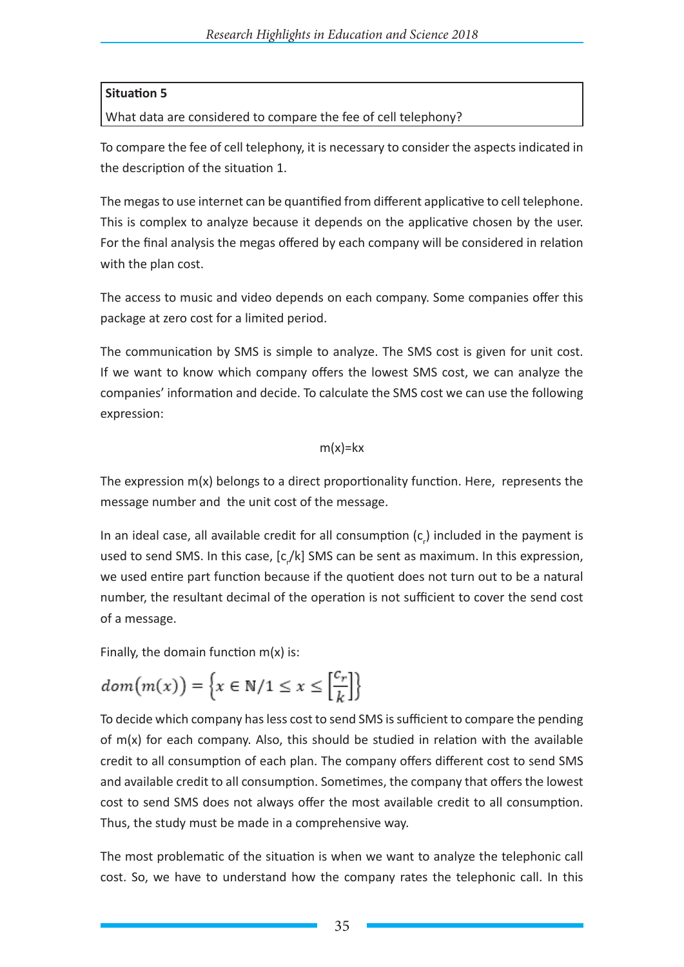# **Situation 5**

What data are considered to compare the fee of cell telephony?

To compare the fee of cell telephony, it is necessary to consider the aspects indicated in the description of the situation 1.

The megas to use internet can be quantified from different applicative to cell telephone. This is complex to analyze because it depends on the applicative chosen by the user. For the final analysis the megas offered by each company will be considered in relation with the plan cost.

The access to music and video depends on each company. Some companies offer this package at zero cost for a limited period.

The communication by SMS is simple to analyze. The SMS cost is given for unit cost. If we want to know which company offers the lowest SMS cost, we can analyze the companies' information and decide. To calculate the SMS cost we can use the following expression:

# $m(x)=kx$

The expression  $m(x)$  belongs to a direct proportionality function. Here, represents the message number and the unit cost of the message.

In an ideal case, all available credit for all consumption  $(c_{\rho})$  included in the payment is used to send SMS. In this case, [c<sub>,</sub>/k] SMS can be sent as maximum. In this expression, we used entire part function because if the quotient does not turn out to be a natural number, the resultant decimal of the operation is not sufficient to cover the send cost of a message.

Finally, the domain function  $m(x)$  is:

$$
dom(m(x)) = \left\{ x \in \mathbb{N}/1 \leq x \leq \left[\frac{c_r}{k}\right] \right\}
$$

To decide which company has less cost to send SMS is sufficient to compare the pending of  $m(x)$  for each company. Also, this should be studied in relation with the available credit to all consumption of each plan. The company offers different cost to send SMS and available credit to all consumption. Sometimes, the company that offers the lowest cost to send SMS does not always offer the most available credit to all consumption. Thus, the study must be made in a comprehensive way.

The most problematic of the situation is when we want to analyze the telephonic call cost. So, we have to understand how the company rates the telephonic call. In this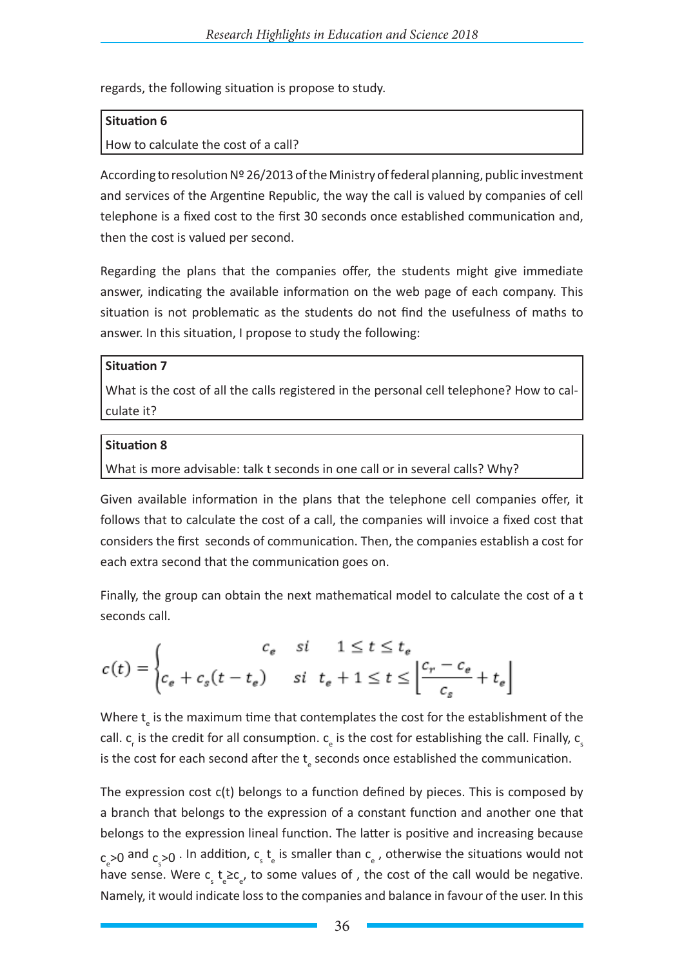regards, the following situation is propose to study.

## **Situation 6**

How to calculate the cost of a call?

According to resolution Nº 26/2013 of the Ministry of federal planning, public investment and services of the Argentine Republic, the way the call is valued by companies of cell telephone is a fixed cost to the first 30 seconds once established communication and, then the cost is valued per second.

Regarding the plans that the companies offer, the students might give immediate answer, indicating the available information on the web page of each company. This situation is not problematic as the students do not find the usefulness of maths to answer. In this situation, I propose to study the following:

#### **Situation 7**

What is the cost of all the calls registered in the personal cell telephone? How to calculate it?

### **Situation 8**

What is more advisable: talk t seconds in one call or in several calls? Why?

Given available information in the plans that the telephone cell companies offer, it follows that to calculate the cost of a call, the companies will invoice a fixed cost that considers the first seconds of communication. Then, the companies establish a cost for each extra second that the communication goes on.

Finally, the group can obtain the next mathematical model to calculate the cost of a t seconds call.

$$
c(t) = \begin{cases} \n c_e & si & 1 \le t \le t_e \\ \nc_e + c_s(t - t_e) & si & t_e + 1 \le t \le \left\lfloor \frac{c_r - c_e}{c_s} + t_e \right\rfloor \n\end{cases}
$$

Where  $t_{\text{e}}$  is the maximum time that contemplates the cost for the establishment of the call.  $c_r$  is the credit for all consumption.  $c_{\rm e}$  is the cost for establishing the call. Finally,  $c_{\rm s}$ is the cost for each second after the  $t_{\varepsilon}$  seconds once established the communication.

The expression cost c(t) belongs to a function defined by pieces. This is composed by a branch that belongs to the expression of a constant function and another one that belongs to the expression lineal function. The latter is positive and increasing because  $c_{\rm e}$ >0 and  $c_{\rm s}$ >0  $\cdot$  In addition,  $c_{\rm s}$  t<sub>e</sub> is smaller than  $c_{\rm e}$  , otherwise the situations would not have sense. Were  $c_s t_e \geq c_e$ , to some values of , the cost of the call would be negative. Namely, it would indicate loss to the companies and balance in favour of the user. In this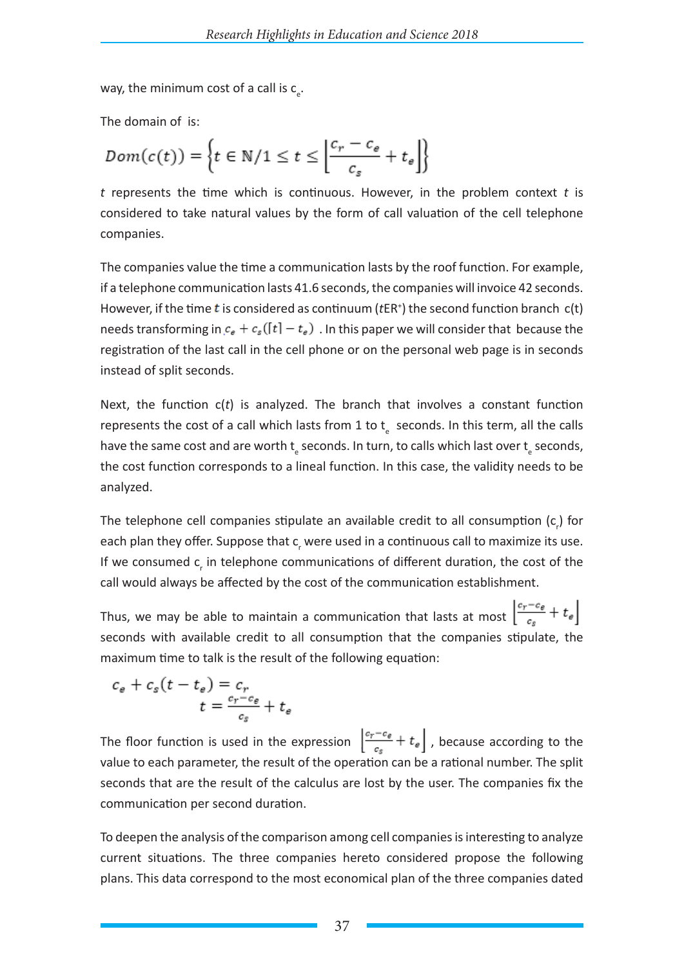way, the minimum cost of a call is  $c_{e}$ .

The domain of is:

$$
Dom(c(t)) = \left\{ t \in \mathbb{N}/1 \leq t \leq \left\lfloor \frac{c_r - c_e}{c_s} + t_e \right\rfloor \right\}
$$

*t* represents the time which is continuous. However, in the problem context *t* is considered to take natural values by the form of call valuation of the cell telephone companies.

The companies value the time a communication lasts by the roof function. For example, if a telephone communication lasts 41.6 seconds, the companies will invoice 42 seconds. However, if the time  $t$  is considered as continuum ( $tER<sup>+</sup>$ ) the second function branch  $c(t)$ needs transforming in  $c_e + c_s([t] - t_e)$ . In this paper we will consider that because the registration of the last call in the cell phone or on the personal web page is in seconds instead of split seconds.

Next, the function c(*t*) is analyzed. The branch that involves a constant function represents the cost of a call which lasts from 1 to  $t_{\rm s}$  seconds. In this term, all the calls have the same cost and are worth  $t_{\text{e}}$  seconds. In turn, to calls which last over  $t_{\text{e}}$  seconds, the cost function corresponds to a lineal function. In this case, the validity needs to be analyzed.

The telephone cell companies stipulate an available credit to all consumption  $(c_{p})$  for each plan they offer. Suppose that c, were used in a continuous call to maximize its use. If we consumed  $c<sub>r</sub>$  in telephone communications of different duration, the cost of the call would always be affected by the cost of the communication establishment.

Thus, we may be able to maintain a communication that lasts at most  $\left\lfloor \frac{c_r-c_{\epsilon}}{c_s}+t_{\epsilon}\right\rfloor$ seconds with available credit to all consumption that the companies stipulate, the maximum time to talk is the result of the following equation:

$$
c_e + c_s(t - t_e) = c_r
$$
  

$$
t = \frac{c_r - c_e}{c_s} + t_e
$$

The floor function is used in the expression  $\left\lfloor \frac{c_r-c_{\varepsilon}}{c_{\varepsilon}}+t_{\varepsilon}\right\rfloor$ , because according to the value to each parameter, the result of the operation can be a rational number. The split seconds that are the result of the calculus are lost by the user. The companies fix the communication per second duration.

To deepen the analysis of the comparison among cell companies is interesting to analyze current situations. The three companies hereto considered propose the following plans. This data correspond to the most economical plan of the three companies dated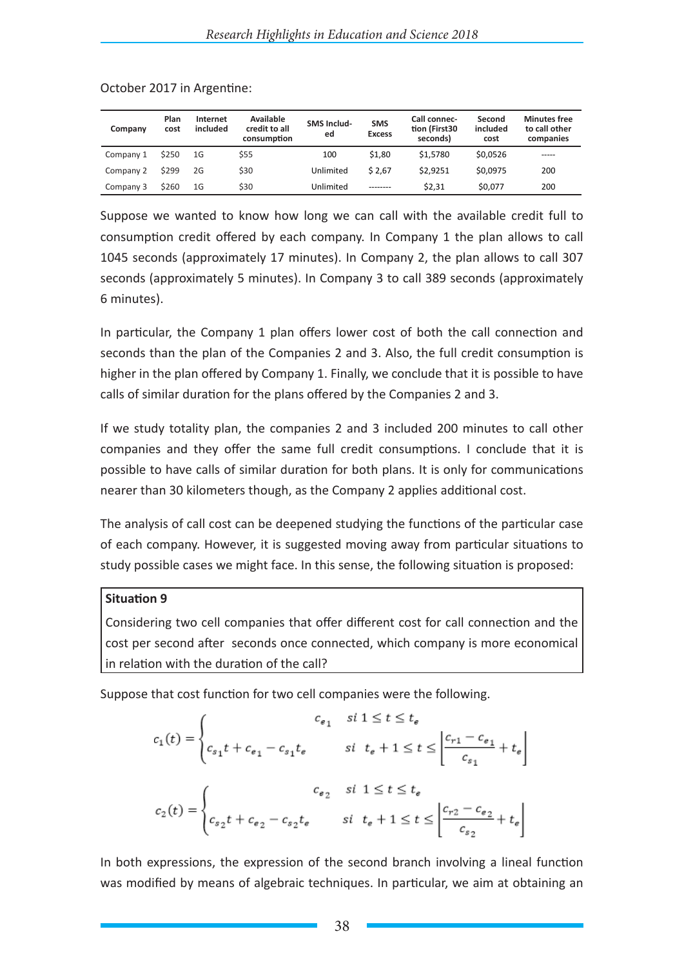| Company   | Plan<br>cost | Internet<br>included | <b>Available</b><br>credit to all<br>consumption | <b>SMS Includ-</b><br>ed | <b>SMS</b><br><b>Excess</b> | Call connec-<br>tion (First30<br>seconds) | Second<br>included<br>cost | <b>Minutes free</b><br>to call other<br>companies |
|-----------|--------------|----------------------|--------------------------------------------------|--------------------------|-----------------------------|-------------------------------------------|----------------------------|---------------------------------------------------|
| Company 1 | \$250        | 1G                   | \$55                                             | 100                      | \$1.80                      | \$1,5780                                  | \$0.0526                   | -----                                             |
| Company 2 | \$299        | 2G                   | \$30                                             | Unlimited                | \$2.67                      | \$2.9251                                  | \$0.0975                   | 200                                               |
| Company 3 | \$260        | 1G                   | \$30                                             | Unlimited                | ---------                   | \$2,31                                    | \$0,077                    | 200                                               |

October 2017 in Argentine:

Suppose we wanted to know how long we can call with the available credit full to consumption credit offered by each company. In Company 1 the plan allows to call 1045 seconds (approximately 17 minutes). In Company 2, the plan allows to call 307 seconds (approximately 5 minutes). In Company 3 to call 389 seconds (approximately 6 minutes).

In particular, the Company 1 plan offers lower cost of both the call connection and seconds than the plan of the Companies 2 and 3. Also, the full credit consumption is higher in the plan offered by Company 1. Finally, we conclude that it is possible to have calls of similar duration for the plans offered by the Companies 2 and 3.

If we study totality plan, the companies 2 and 3 included 200 minutes to call other companies and they offer the same full credit consumptions. I conclude that it is possible to have calls of similar duration for both plans. It is only for communications nearer than 30 kilometers though, as the Company 2 applies additional cost.

The analysis of call cost can be deepened studying the functions of the particular case of each company. However, it is suggested moving away from particular situations to study possible cases we might face. In this sense, the following situation is proposed:

# **Situation 9**

Considering two cell companies that offer different cost for call connection and the cost per second after seconds once connected, which company is more economical in relation with the duration of the call?

Suppose that cost function for two cell companies were the following.

$$
c_1(t) = \begin{cases} c_{e_1} & \text{si } 1 \le t \le t_e \\ c_{s_1}t + c_{e_1} - c_{s_1}t_e & \text{si } t_e + 1 \le t \le \left\lfloor \frac{c_{r1} - c_{e_1}}{c_{s_1}} + t_e \right\rfloor \end{cases}
$$
\n
$$
c_2(t) = \begin{cases} c_{e_2} & \text{si } 1 \le t \le t_e \\ c_{s_2}t + c_{e_2} - c_{s_2}t_e & \text{si } t_e + 1 \le t \le \left\lfloor \frac{c_{r2} - c_{e_2}}{c_{s_2}} + t_e \right\rfloor \end{cases}
$$

In both expressions, the expression of the second branch involving a lineal function was modified by means of algebraic techniques. In particular, we aim at obtaining an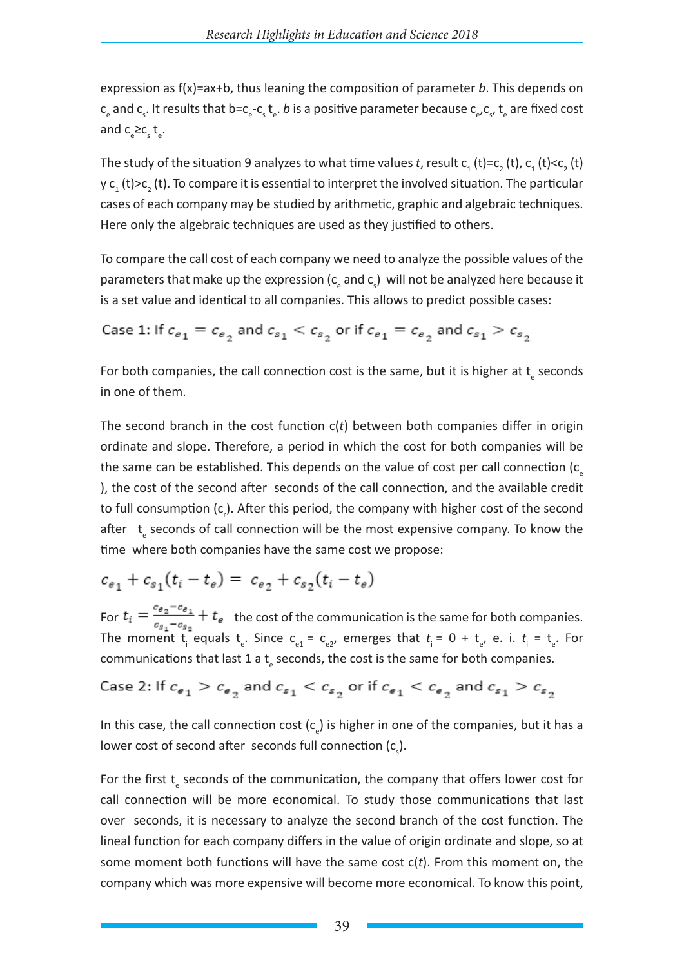expression as f(x)=ax+b, thus leaning the composition of parameter *b*. This depends on c<sub>e</sub> and c<sub>s</sub>. It results that b=c<sub>e</sub>-c<sub>s</sub> t<sub>e</sub>. *b* is a positive parameter because c<sub>e</sub>,c<sub>s</sub>, t<sub>e</sub> are fixed cost and  $c_e \geq c_s t_e$ .

The study of the situation 9 analyzes to what time values *t*, result  $c_1$  (t)= $c_2$  (t),  $c_1$  (t)< $c_2$  (t) y  ${\mathsf c}_1$  (t)> ${\mathsf c}_2$  (t). To compare it is essential to interpret the involved situation. The particular cases of each company may be studied by arithmetic, graphic and algebraic techniques. Here only the algebraic techniques are used as they justified to others.

To compare the call cost of each company we need to analyze the possible values of the parameters that make up the expression ( $c_{\text{e}}$  and  $c_{\text{s}}$ ) will not be analyzed here because it is a set value and identical to all companies. This allows to predict possible cases:

Case 1: If 
$$
c_{e_1} = c_{e_2}
$$
 and  $c_{s_1} < c_{s_2}$  or if  $c_{e_1} = c_{e_2}$  and  $c_{s_1} > c_{s_2}$ 

For both companies, the call connection cost is the same, but it is higher at  $t_{e}$  seconds in one of them.

The second branch in the cost function c(*t*) between both companies differ in origin ordinate and slope. Therefore, a period in which the cost for both companies will be the same can be established. This depends on the value of cost per call connection  $(c_{\epsilon})$ ), the cost of the second after seconds of the call connection, and the available credit to full consumption (c<sub>r</sub>). After this period, the company with higher cost of the second after t<sub>e</sub> seconds of call connection will be the most expensive company. To know the time where both companies have the same cost we propose:

$$
c_{e_1} + c_{s_1}(t_i - t_e) = c_{e_2} + c_{s_2}(t_i - t_e)
$$

For  $t_i = \frac{t_i}{s_i} - \frac{t_i}{s_i} + t_e$  the cost of the communication is the same for both companies. The moment  $t_i^-$  equals  $t_e$ . Since  $c_{e1} = c_{e2}$ , emerges that  $t_i = 0 + t_{e}$ , e. i.  $t_i = t_e$ . For communications that last 1 a  $t_{\text{e}}$  seconds, the cost is the same for both companies.

Case 2: If 
$$
c_{e_1} > c_{e_2}
$$
 and  $c_{s_1} < c_{s_2}$  or if  $c_{e_1} < c_{e_2}$  and  $c_{s_1} > c_{s_2}$ 

In this case, the call connection cost  $(c_{e})$  is higher in one of the companies, but it has a lower cost of second after seconds full connection  $(c_{\varsigma})$ .

For the first  $t_{\varepsilon}$  seconds of the communication, the company that offers lower cost for call connection will be more economical. To study those communications that last over seconds, it is necessary to analyze the second branch of the cost function. The lineal function for each company differs in the value of origin ordinate and slope, so at some moment both functions will have the same cost c(*t*). From this moment on, the company which was more expensive will become more economical. To know this point,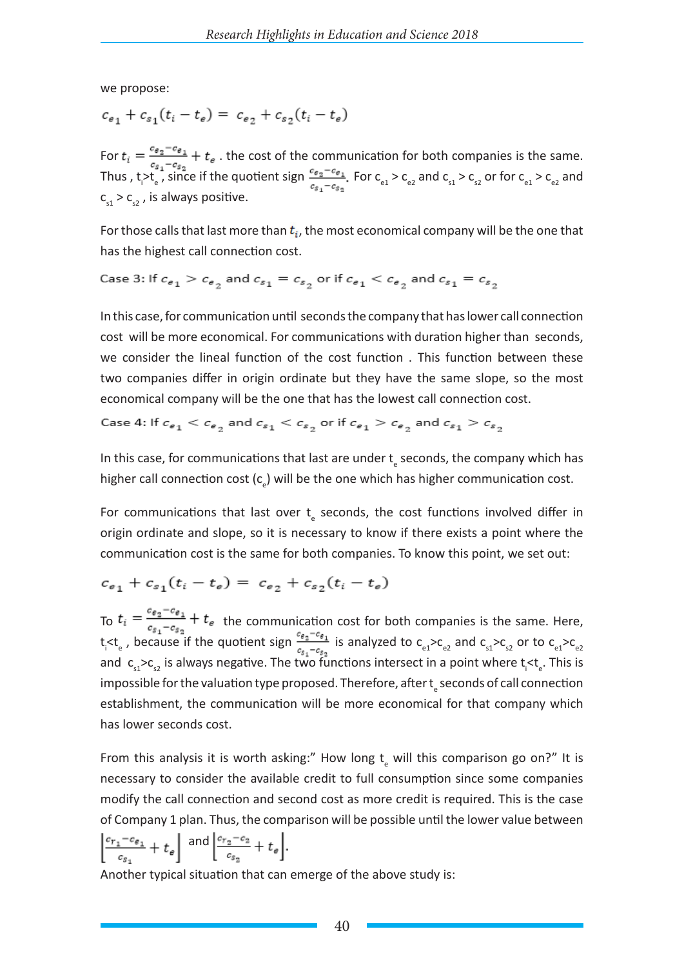we propose:

$$
c_{e_1} + c_{s_1}(t_i - t_e) = c_{e_2} + c_{s_2}(t_i - t_e)
$$

For  $t_i = \frac{e_{\frac{p_i}{2}} - e_i}{r} + t_e$ . the cost of the communication for both companies is the same. Thus , t<sub>i</sub> > t<sub>e</sub>, since if the quotient sign  $\frac{c_{g_2}-c_{g_1}}{c_{g_2}-c_{g_1}}$ . For  $c_{e_1} > c_{e_2}$  and  $c_{s_1} > c_{s_2}$  or for  $c_{e_1} > c_{e_2}$  and  $c_{s1} > c_{s2}$ , is always positive.

For those calls that last more than  $t_i$ , the most economical company will be the one that has the highest call connection cost.

Case 3: If  $c_{e_1} > c_{e_2}$  and  $c_{s_1} = c_{s_2}$  or if  $c_{e_1} < c_{e_2}$  and  $c_{s_1} = c_{s_2}$ 

In this case, for communication until seconds the company that has lower call connection cost will be more economical. For communications with duration higher than seconds, we consider the lineal function of the cost function . This function between these two companies differ in origin ordinate but they have the same slope, so the most economical company will be the one that has the lowest call connection cost.

Case 4: If 
$$
c_{e_1} < c_{e_2}
$$
 and  $c_{s_1} < c_{s_2}$  or if  $c_{e_1} > c_{e_2}$  and  $c_{s_1} > c_{s_2}$ 

In this case, for communications that last are under  $t_{\rm e}$  seconds, the company which has higher call connection cost  $(c_{e})$  will be the one which has higher communication cost.

For communications that last over  $t_{\text{e}}$  seconds, the cost functions involved differ in origin ordinate and slope, so it is necessary to know if there exists a point where the communication cost is the same for both companies. To know this point, we set out:

$$
c_{e_1} + c_{s_1}(t_i - t_e) = c_{e_2} + c_{s_2}(t_i - t_e)
$$

To  $t_i = \frac{t_i}{c_i - c_i} + t_e$  the communication cost for both companies is the same. Here, t<sub>i</sub> $lt_i$ <sub>e</sub>, because if the quotient sign  $\frac{ve_2-ve_1}{ce_1-ce_2}$  is analyzed to  $c_{e1}$ > $c_{e2}$  and  $c_{s1}$ > $c_{s2}$  or to  $c_{e1}$ > $c_{e2}$ and  $c_{s1} > c_{s2}$  is always negative. The two functions intersect in a point where  $t_i < t_e$ . This is impossible for the valuation type proposed. Therefore, after t<sub>a</sub> seconds of call connection establishment, the communication will be more economical for that company which has lower seconds cost.

From this analysis it is worth asking:" How long  $t_{\rm e}$  will this comparison go on?" It is necessary to consider the available credit to full consumption since some companies modify the call connection and second cost as more credit is required. This is the case of Company 1 plan. Thus, the comparison will be possible until the lower value between  $\left|\frac{c_{r_1}-c_{\varepsilon_1}}{c_{\varepsilon_1}}+t_{\varepsilon}\right|$  and  $\left|\frac{c_{r_2}-c_2}{c_{\varepsilon_2}}+t_{\varepsilon}\right|$ .

Another typical situation that can emerge of the above study is: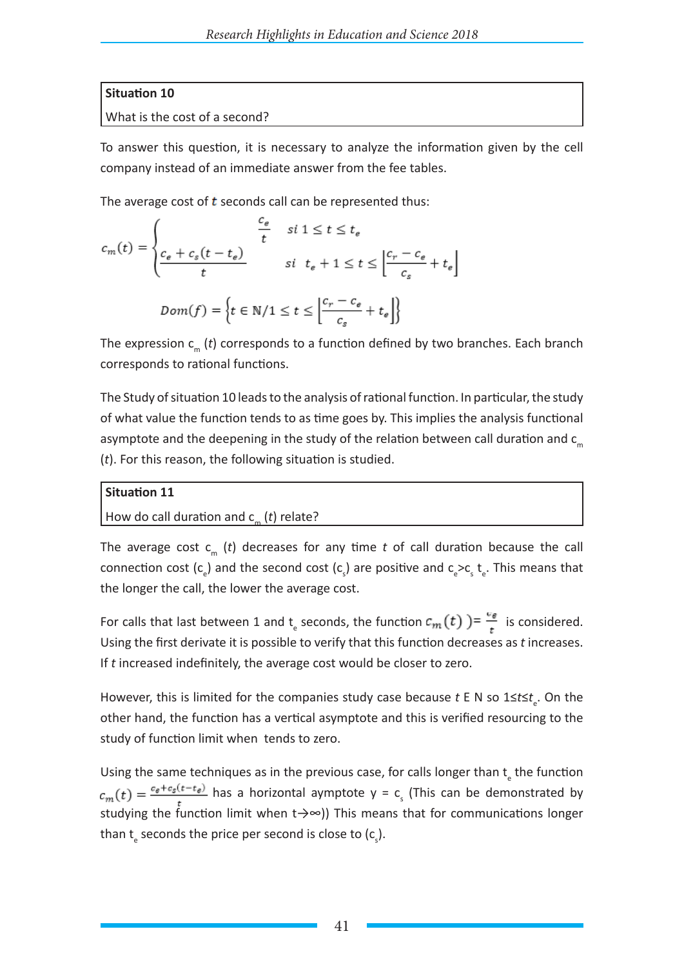# **Situation 10**

# What is the cost of a second?

To answer this question, it is necessary to analyze the information given by the cell company instead of an immediate answer from the fee tables.

The average cost of  $t$  seconds call can be represented thus:

$$
c_m(t) = \begin{cases} \n\frac{c_e}{t} & \text{si } 1 \le t \le t_e\\ \n\frac{c_e + c_s(t - t_e)}{t} & \text{si } t_e + 1 \le t \le \left\lfloor \frac{c_r - c_e}{c_s} + t_e \right\rfloor \n\end{cases}
$$
\n
$$
Dom(f) = \left\{ t \in \mathbb{N}/1 \le t \le \left\lfloor \frac{c_r - c_e}{c_s} + t_e \right\rfloor \right\}
$$

The expression c<sub>m</sub> (*t*) corresponds to a function defined by two branches. Each branch corresponds to rational functions.

The Study of situation 10 leads to the analysis of rational function. In particular, the study of what value the function tends to as time goes by. This implies the analysis functional asymptote and the deepening in the study of the relation between call duration and  $c_m$ (*t*). For this reason, the following situation is studied.

# **Situation 11**

# How do call duration and  $c_m$  (*t*) relate?

The average cost  $c_m$  (*t*) decreases for any time *t* of call duration because the call connection cost (c<sub>e</sub>) and the second cost (c<sub>s</sub>) are positive and  $c_e>c_s t_e$ . This means that the longer the call, the lower the average cost.

For calls that last between 1 and t<sub>e</sub> seconds, the function  $c_m(t)$  )=  $\frac{v}{t}$  is considered. Using the first derivate it is possible to verify that this function decreases as *t* increases. If *t* increased indefinitely, the average cost would be closer to zero.

However, this is limited for the companies study case because *t* E N so 1≤*t*≤*t*<sub>e</sub>. On the other hand, the function has a vertical asymptote and this is verified resourcing to the study of function limit when tends to zero.

Using the same techniques as in the previous case, for calls longer than  $t_{\text{e}}$  the function has a horizontal aymptote  $y = c_s$  (This can be demonstrated by studying the function limit when t→∞)) This means that for communications longer than  $t_{e}$  seconds the price per second is close to (c<sub>s</sub>).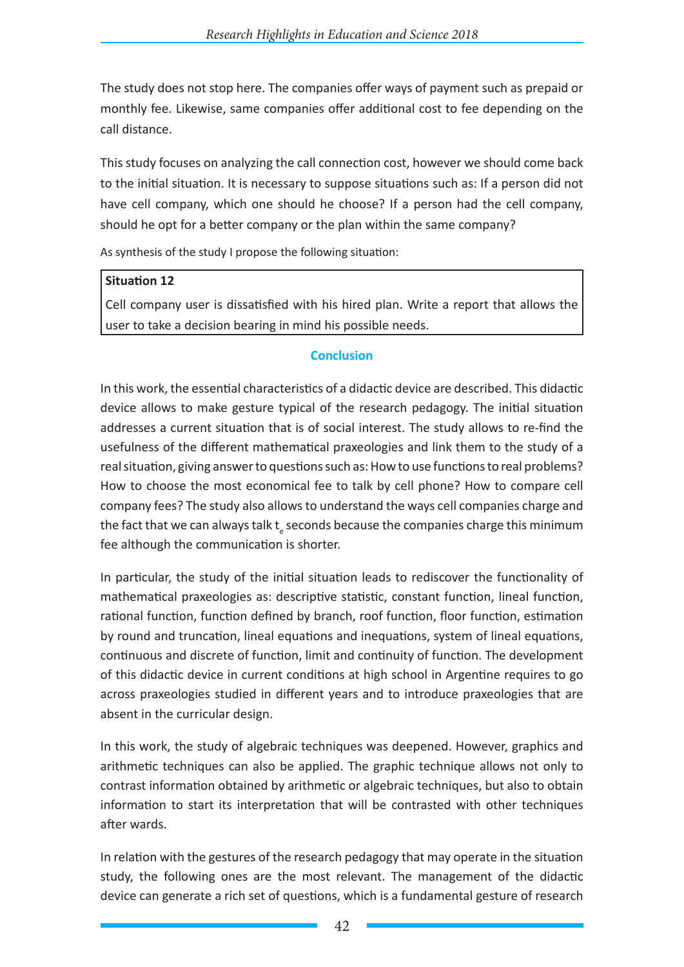The study does not stop here. The companies offer ways of payment such as prepaid or monthly fee. Likewise, same companies offer additional cost to fee depending on the call distance.

This study focuses on analyzing the call connection cost, however we should come back to the initial situation. It is necessary to suppose situations such as: If a person did not have cell company, which one should he choose? If a person had the cell company, should he opt for a better company or the plan within the same company?

As synthesis of the study I propose the following situation:

# **Situation 12**

Cell company user is dissatisfied with his hired plan. Write a report that allows the user to take a decision bearing in mind his possible needs.

# **Conclusion**

In this work, the essential characteristics of a didactic device are described. This didactic device allows to make gesture typical of the research pedagogy. The initial situation addresses a current situation that is of social interest. The study allows to re-find the usefulness of the different mathematical praxeologies and link them to the study of a real situation, giving answer to questions such as: How to use functions to real problems? How to choose the most economical fee to talk by cell phone? How to compare cell company fees? The study also allows to understand the ways cell companies charge and the fact that we can always talk  $\mathsf{t}_\varepsilon$  seconds because the companies charge this minimum fee although the communication is shorter.

In particular, the study of the initial situation leads to rediscover the functionality of mathematical praxeologies as: descriptive statistic, constant function, lineal function, rational function, function defined by branch, roof function, floor function, estimation by round and truncation, lineal equations and inequations, system of lineal equations, continuous and discrete of function, limit and continuity of function. The development of this didactic device in current conditions at high school in Argentine requires to go across praxeologies studied in different years and to introduce praxeologies that are absent in the curricular design.

In this work, the study of algebraic techniques was deepened. However, graphics and arithmetic techniques can also be applied. The graphic technique allows not only to contrast information obtained by arithmetic or algebraic techniques, but also to obtain information to start its interpretation that will be contrasted with other techniques after wards.

In relation with the gestures of the research pedagogy that may operate in the situation study, the following ones are the most relevant. The management of the didactic device can generate a rich set of questions, which is a fundamental gesture of research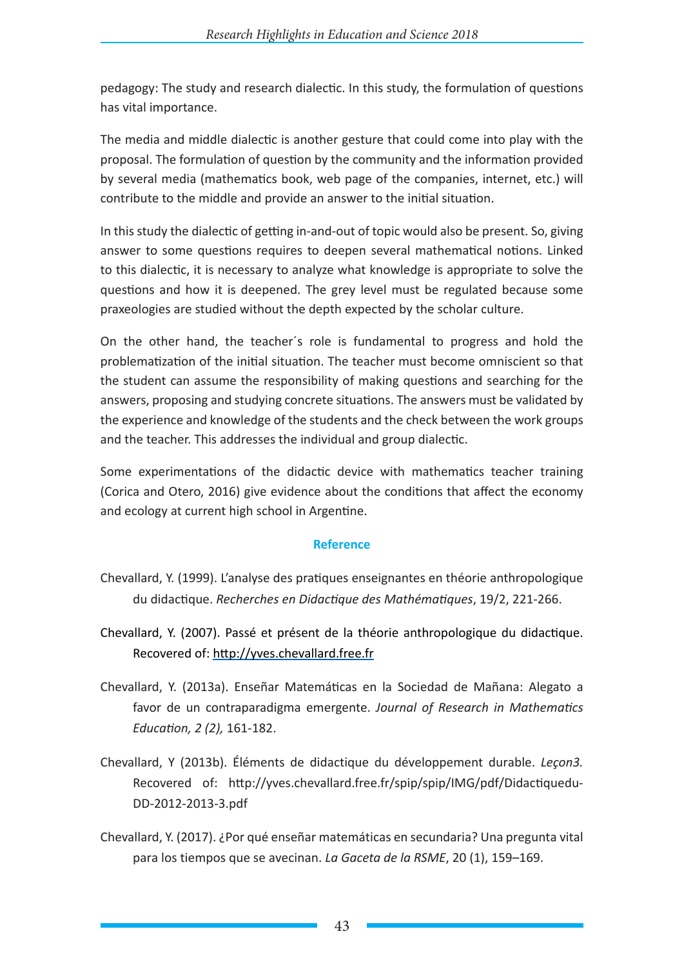pedagogy: The study and research dialectic. In this study, the formulation of questions has vital importance.

The media and middle dialectic is another gesture that could come into play with the proposal. The formulation of question by the community and the information provided by several media (mathematics book, web page of the companies, internet, etc.) will contribute to the middle and provide an answer to the initial situation.

In this study the dialectic of getting in-and-out of topic would also be present. So, giving answer to some questions requires to deepen several mathematical notions. Linked to this dialectic, it is necessary to analyze what knowledge is appropriate to solve the questions and how it is deepened. The grey level must be regulated because some praxeologies are studied without the depth expected by the scholar culture.

On the other hand, the teacher´s role is fundamental to progress and hold the problematization of the initial situation. The teacher must become omniscient so that the student can assume the responsibility of making questions and searching for the answers, proposing and studying concrete situations. The answers must be validated by the experience and knowledge of the students and the check between the work groups and the teacher. This addresses the individual and group dialectic.

Some experimentations of the didactic device with mathematics teacher training (Corica and Otero, 2016) give evidence about the conditions that affect the economy and ecology at current high school in Argentine.

#### **Reference**

- Chevallard, Y. (1999). L'analyse des pratiques enseignantes en théorie anthropologique du didactique. *Recherches en Didactique des Mathématiques*, 19/2, 221-266.
- Chevallard, Y. (2007). Passé et présent de la théorie anthropologique du didactique. Recovered of: http://yves.chevallard.free.fr
- Chevallard, Y. (2013a). Enseñar Matemáticas en la Sociedad de Mañana: Alegato a favor de un contraparadigma emergente. *Journal of Research in Mathematics Education, 2 (2),* 161-182.
- Chevallard, Y (2013b). Éléments de didactique du développement durable. *Leçon3.* Recovered of: http://yves.chevallard.free.fr/spip/spip/IMG/pdf/Didactiquedu-DD-2012-2013-3.pdf
- Chevallard, Y. (2017). ¿Por qué enseñar matemáticas en secundaria? Una pregunta vital para los tiempos que se avecinan. *La Gaceta de la RSME*, 20 (1), 159–169.